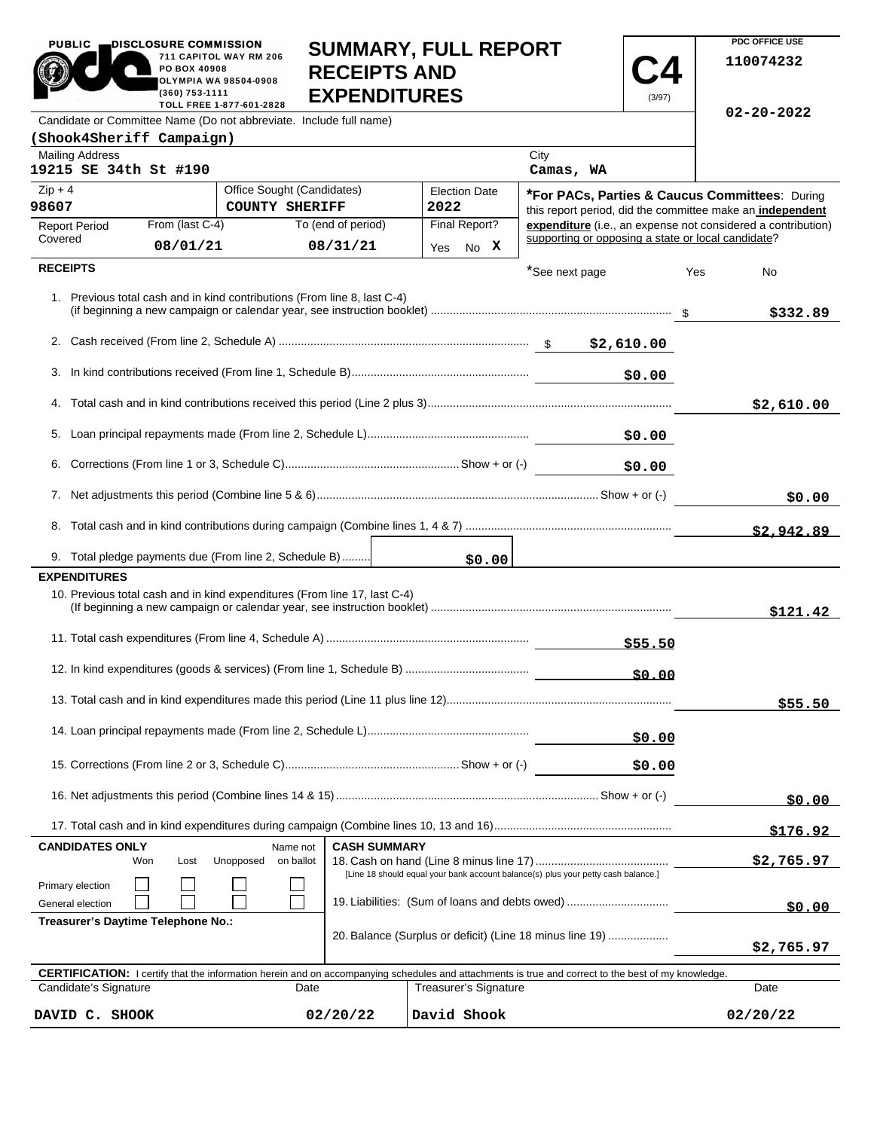| <b>SUMMARY, FULL REPORT</b><br>711 CAPITOL WAY RM 206<br>110074232<br>PO BOX 40908<br><b>RECEIPTS AND</b><br><b>OLYMPIA WA 98504-0908</b><br><b>EXPENDITURES</b><br>(360) 753-1111<br>(3/97)<br>TOLL FREE 1-877-601-2828<br>$02 - 20 - 2022$<br>Candidate or Committee Name (Do not abbreviate. Include full name)<br>(Shook4Sheriff Campaign)<br><b>Mailing Address</b><br>City<br>19215 SE 34th St #190<br>Camas, WA<br>$Zip + 4$<br>Office Sought (Candidates)<br><b>Election Date</b><br>*For PACs, Parties & Caucus Committees: During<br><b>COUNTY SHERIFF</b><br>2022<br>this report period, did the committee make an independent<br>Final Report?<br>expenditure (i.e., an expense not considered a contribution)<br>From (last C-4)<br>To (end of period)<br><b>Report Period</b><br>supporting or opposing a state or local candidate?<br>Covered<br>08/01/21<br>08/31/21<br>No X<br>Yes<br><b>RECEIPTS</b><br>*See next page<br>Yes<br>No<br>1. Previous total cash and in kind contributions (From line 8, last C-4)<br>\$332.89<br>3.<br>\$0.00<br>\$2,610.00<br>\$0.00<br>\$0.00<br>\$0.00<br>\$2,942.89<br>9. Total pledge payments due (From line 2, Schedule B)<br>\$0.00<br><b>EXPENDITURES</b><br>10. Previous total cash and in kind expenditures (From line 17, last C-4)<br>\$121.42<br>\$55.50<br>\$0.00<br>\$55.50<br>\$0.00<br>\$0.00<br>\$176.92<br><b>CASH SUMMARY</b><br><b>CANDIDATES ONLY</b><br>Name not<br>\$2,765.97<br>Won<br>Lost<br>Unopposed<br>on ballot<br>[Line 18 should equal your bank account balance(s) plus your petty cash balance.]<br>Primary election<br>19. Liabilities: (Sum of loans and debts owed)<br>General election<br>\$0.00<br>Treasurer's Daytime Telephone No.:<br>20. Balance (Surplus or deficit) (Line 18 minus line 19)<br>\$2,765.97<br><b>CERTIFICATION:</b> I certify that the information herein and on accompanying schedules and attachments is true and correct to the best of my knowledge.<br>Candidate's Signature<br>Treasurer's Signature<br>Date<br>Date<br>02/20/22<br>David Shook<br>02/20/22<br>DAVID C. SHOOK | PUBLIC <sub>1</sub><br>DISCLOSURE COMMISSION |  |  |  |  |  | PDC OFFICE USE |
|---------------------------------------------------------------------------------------------------------------------------------------------------------------------------------------------------------------------------------------------------------------------------------------------------------------------------------------------------------------------------------------------------------------------------------------------------------------------------------------------------------------------------------------------------------------------------------------------------------------------------------------------------------------------------------------------------------------------------------------------------------------------------------------------------------------------------------------------------------------------------------------------------------------------------------------------------------------------------------------------------------------------------------------------------------------------------------------------------------------------------------------------------------------------------------------------------------------------------------------------------------------------------------------------------------------------------------------------------------------------------------------------------------------------------------------------------------------------------------------------------------------------------------------------------------------------------------------------------------------------------------------------------------------------------------------------------------------------------------------------------------------------------------------------------------------------------------------------------------------------------------------------------------------------------------------------------------------------------------------------------------------------------------------------------------------------------------------------------|----------------------------------------------|--|--|--|--|--|----------------|
|                                                                                                                                                                                                                                                                                                                                                                                                                                                                                                                                                                                                                                                                                                                                                                                                                                                                                                                                                                                                                                                                                                                                                                                                                                                                                                                                                                                                                                                                                                                                                                                                                                                                                                                                                                                                                                                                                                                                                                                                                                                                                                   |                                              |  |  |  |  |  |                |
|                                                                                                                                                                                                                                                                                                                                                                                                                                                                                                                                                                                                                                                                                                                                                                                                                                                                                                                                                                                                                                                                                                                                                                                                                                                                                                                                                                                                                                                                                                                                                                                                                                                                                                                                                                                                                                                                                                                                                                                                                                                                                                   |                                              |  |  |  |  |  |                |
|                                                                                                                                                                                                                                                                                                                                                                                                                                                                                                                                                                                                                                                                                                                                                                                                                                                                                                                                                                                                                                                                                                                                                                                                                                                                                                                                                                                                                                                                                                                                                                                                                                                                                                                                                                                                                                                                                                                                                                                                                                                                                                   |                                              |  |  |  |  |  |                |
|                                                                                                                                                                                                                                                                                                                                                                                                                                                                                                                                                                                                                                                                                                                                                                                                                                                                                                                                                                                                                                                                                                                                                                                                                                                                                                                                                                                                                                                                                                                                                                                                                                                                                                                                                                                                                                                                                                                                                                                                                                                                                                   |                                              |  |  |  |  |  |                |
|                                                                                                                                                                                                                                                                                                                                                                                                                                                                                                                                                                                                                                                                                                                                                                                                                                                                                                                                                                                                                                                                                                                                                                                                                                                                                                                                                                                                                                                                                                                                                                                                                                                                                                                                                                                                                                                                                                                                                                                                                                                                                                   |                                              |  |  |  |  |  |                |
|                                                                                                                                                                                                                                                                                                                                                                                                                                                                                                                                                                                                                                                                                                                                                                                                                                                                                                                                                                                                                                                                                                                                                                                                                                                                                                                                                                                                                                                                                                                                                                                                                                                                                                                                                                                                                                                                                                                                                                                                                                                                                                   | 98607                                        |  |  |  |  |  |                |
|                                                                                                                                                                                                                                                                                                                                                                                                                                                                                                                                                                                                                                                                                                                                                                                                                                                                                                                                                                                                                                                                                                                                                                                                                                                                                                                                                                                                                                                                                                                                                                                                                                                                                                                                                                                                                                                                                                                                                                                                                                                                                                   |                                              |  |  |  |  |  |                |
|                                                                                                                                                                                                                                                                                                                                                                                                                                                                                                                                                                                                                                                                                                                                                                                                                                                                                                                                                                                                                                                                                                                                                                                                                                                                                                                                                                                                                                                                                                                                                                                                                                                                                                                                                                                                                                                                                                                                                                                                                                                                                                   |                                              |  |  |  |  |  |                |
|                                                                                                                                                                                                                                                                                                                                                                                                                                                                                                                                                                                                                                                                                                                                                                                                                                                                                                                                                                                                                                                                                                                                                                                                                                                                                                                                                                                                                                                                                                                                                                                                                                                                                                                                                                                                                                                                                                                                                                                                                                                                                                   |                                              |  |  |  |  |  |                |
|                                                                                                                                                                                                                                                                                                                                                                                                                                                                                                                                                                                                                                                                                                                                                                                                                                                                                                                                                                                                                                                                                                                                                                                                                                                                                                                                                                                                                                                                                                                                                                                                                                                                                                                                                                                                                                                                                                                                                                                                                                                                                                   |                                              |  |  |  |  |  |                |
|                                                                                                                                                                                                                                                                                                                                                                                                                                                                                                                                                                                                                                                                                                                                                                                                                                                                                                                                                                                                                                                                                                                                                                                                                                                                                                                                                                                                                                                                                                                                                                                                                                                                                                                                                                                                                                                                                                                                                                                                                                                                                                   |                                              |  |  |  |  |  |                |
|                                                                                                                                                                                                                                                                                                                                                                                                                                                                                                                                                                                                                                                                                                                                                                                                                                                                                                                                                                                                                                                                                                                                                                                                                                                                                                                                                                                                                                                                                                                                                                                                                                                                                                                                                                                                                                                                                                                                                                                                                                                                                                   |                                              |  |  |  |  |  |                |
|                                                                                                                                                                                                                                                                                                                                                                                                                                                                                                                                                                                                                                                                                                                                                                                                                                                                                                                                                                                                                                                                                                                                                                                                                                                                                                                                                                                                                                                                                                                                                                                                                                                                                                                                                                                                                                                                                                                                                                                                                                                                                                   |                                              |  |  |  |  |  |                |
|                                                                                                                                                                                                                                                                                                                                                                                                                                                                                                                                                                                                                                                                                                                                                                                                                                                                                                                                                                                                                                                                                                                                                                                                                                                                                                                                                                                                                                                                                                                                                                                                                                                                                                                                                                                                                                                                                                                                                                                                                                                                                                   |                                              |  |  |  |  |  |                |
|                                                                                                                                                                                                                                                                                                                                                                                                                                                                                                                                                                                                                                                                                                                                                                                                                                                                                                                                                                                                                                                                                                                                                                                                                                                                                                                                                                                                                                                                                                                                                                                                                                                                                                                                                                                                                                                                                                                                                                                                                                                                                                   |                                              |  |  |  |  |  |                |
|                                                                                                                                                                                                                                                                                                                                                                                                                                                                                                                                                                                                                                                                                                                                                                                                                                                                                                                                                                                                                                                                                                                                                                                                                                                                                                                                                                                                                                                                                                                                                                                                                                                                                                                                                                                                                                                                                                                                                                                                                                                                                                   |                                              |  |  |  |  |  |                |
|                                                                                                                                                                                                                                                                                                                                                                                                                                                                                                                                                                                                                                                                                                                                                                                                                                                                                                                                                                                                                                                                                                                                                                                                                                                                                                                                                                                                                                                                                                                                                                                                                                                                                                                                                                                                                                                                                                                                                                                                                                                                                                   |                                              |  |  |  |  |  |                |
|                                                                                                                                                                                                                                                                                                                                                                                                                                                                                                                                                                                                                                                                                                                                                                                                                                                                                                                                                                                                                                                                                                                                                                                                                                                                                                                                                                                                                                                                                                                                                                                                                                                                                                                                                                                                                                                                                                                                                                                                                                                                                                   |                                              |  |  |  |  |  |                |
|                                                                                                                                                                                                                                                                                                                                                                                                                                                                                                                                                                                                                                                                                                                                                                                                                                                                                                                                                                                                                                                                                                                                                                                                                                                                                                                                                                                                                                                                                                                                                                                                                                                                                                                                                                                                                                                                                                                                                                                                                                                                                                   |                                              |  |  |  |  |  |                |
|                                                                                                                                                                                                                                                                                                                                                                                                                                                                                                                                                                                                                                                                                                                                                                                                                                                                                                                                                                                                                                                                                                                                                                                                                                                                                                                                                                                                                                                                                                                                                                                                                                                                                                                                                                                                                                                                                                                                                                                                                                                                                                   |                                              |  |  |  |  |  |                |
|                                                                                                                                                                                                                                                                                                                                                                                                                                                                                                                                                                                                                                                                                                                                                                                                                                                                                                                                                                                                                                                                                                                                                                                                                                                                                                                                                                                                                                                                                                                                                                                                                                                                                                                                                                                                                                                                                                                                                                                                                                                                                                   |                                              |  |  |  |  |  |                |
|                                                                                                                                                                                                                                                                                                                                                                                                                                                                                                                                                                                                                                                                                                                                                                                                                                                                                                                                                                                                                                                                                                                                                                                                                                                                                                                                                                                                                                                                                                                                                                                                                                                                                                                                                                                                                                                                                                                                                                                                                                                                                                   |                                              |  |  |  |  |  |                |
|                                                                                                                                                                                                                                                                                                                                                                                                                                                                                                                                                                                                                                                                                                                                                                                                                                                                                                                                                                                                                                                                                                                                                                                                                                                                                                                                                                                                                                                                                                                                                                                                                                                                                                                                                                                                                                                                                                                                                                                                                                                                                                   |                                              |  |  |  |  |  |                |
|                                                                                                                                                                                                                                                                                                                                                                                                                                                                                                                                                                                                                                                                                                                                                                                                                                                                                                                                                                                                                                                                                                                                                                                                                                                                                                                                                                                                                                                                                                                                                                                                                                                                                                                                                                                                                                                                                                                                                                                                                                                                                                   |                                              |  |  |  |  |  |                |
|                                                                                                                                                                                                                                                                                                                                                                                                                                                                                                                                                                                                                                                                                                                                                                                                                                                                                                                                                                                                                                                                                                                                                                                                                                                                                                                                                                                                                                                                                                                                                                                                                                                                                                                                                                                                                                                                                                                                                                                                                                                                                                   |                                              |  |  |  |  |  |                |
|                                                                                                                                                                                                                                                                                                                                                                                                                                                                                                                                                                                                                                                                                                                                                                                                                                                                                                                                                                                                                                                                                                                                                                                                                                                                                                                                                                                                                                                                                                                                                                                                                                                                                                                                                                                                                                                                                                                                                                                                                                                                                                   |                                              |  |  |  |  |  |                |
|                                                                                                                                                                                                                                                                                                                                                                                                                                                                                                                                                                                                                                                                                                                                                                                                                                                                                                                                                                                                                                                                                                                                                                                                                                                                                                                                                                                                                                                                                                                                                                                                                                                                                                                                                                                                                                                                                                                                                                                                                                                                                                   |                                              |  |  |  |  |  | \$0.00         |
|                                                                                                                                                                                                                                                                                                                                                                                                                                                                                                                                                                                                                                                                                                                                                                                                                                                                                                                                                                                                                                                                                                                                                                                                                                                                                                                                                                                                                                                                                                                                                                                                                                                                                                                                                                                                                                                                                                                                                                                                                                                                                                   |                                              |  |  |  |  |  |                |
|                                                                                                                                                                                                                                                                                                                                                                                                                                                                                                                                                                                                                                                                                                                                                                                                                                                                                                                                                                                                                                                                                                                                                                                                                                                                                                                                                                                                                                                                                                                                                                                                                                                                                                                                                                                                                                                                                                                                                                                                                                                                                                   |                                              |  |  |  |  |  |                |
|                                                                                                                                                                                                                                                                                                                                                                                                                                                                                                                                                                                                                                                                                                                                                                                                                                                                                                                                                                                                                                                                                                                                                                                                                                                                                                                                                                                                                                                                                                                                                                                                                                                                                                                                                                                                                                                                                                                                                                                                                                                                                                   |                                              |  |  |  |  |  |                |
|                                                                                                                                                                                                                                                                                                                                                                                                                                                                                                                                                                                                                                                                                                                                                                                                                                                                                                                                                                                                                                                                                                                                                                                                                                                                                                                                                                                                                                                                                                                                                                                                                                                                                                                                                                                                                                                                                                                                                                                                                                                                                                   |                                              |  |  |  |  |  |                |
|                                                                                                                                                                                                                                                                                                                                                                                                                                                                                                                                                                                                                                                                                                                                                                                                                                                                                                                                                                                                                                                                                                                                                                                                                                                                                                                                                                                                                                                                                                                                                                                                                                                                                                                                                                                                                                                                                                                                                                                                                                                                                                   |                                              |  |  |  |  |  |                |
|                                                                                                                                                                                                                                                                                                                                                                                                                                                                                                                                                                                                                                                                                                                                                                                                                                                                                                                                                                                                                                                                                                                                                                                                                                                                                                                                                                                                                                                                                                                                                                                                                                                                                                                                                                                                                                                                                                                                                                                                                                                                                                   |                                              |  |  |  |  |  |                |
|                                                                                                                                                                                                                                                                                                                                                                                                                                                                                                                                                                                                                                                                                                                                                                                                                                                                                                                                                                                                                                                                                                                                                                                                                                                                                                                                                                                                                                                                                                                                                                                                                                                                                                                                                                                                                                                                                                                                                                                                                                                                                                   |                                              |  |  |  |  |  |                |
|                                                                                                                                                                                                                                                                                                                                                                                                                                                                                                                                                                                                                                                                                                                                                                                                                                                                                                                                                                                                                                                                                                                                                                                                                                                                                                                                                                                                                                                                                                                                                                                                                                                                                                                                                                                                                                                                                                                                                                                                                                                                                                   |                                              |  |  |  |  |  |                |